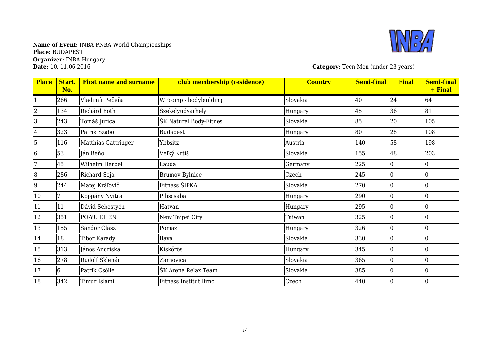

**Category:** Teen Men (under 23 years)

| <b>Place</b>   | Start.<br>No. | <b>First name and surname</b> | club membership (residence) | <b>Country</b> | <b>Semi-final</b> | <b>Final</b> | <b>Semi-final</b><br>+ Final |
|----------------|---------------|-------------------------------|-----------------------------|----------------|-------------------|--------------|------------------------------|
|                | 266           | Vladimír Pečeňa               | WPcomp - bodybuilding       | Slovakia       | 40                | 24           | 64                           |
| $\overline{2}$ | 134           | Richárd Both                  | Szekelyudvarhely            | Hungary        | 45                | 36           | 81                           |
| 3              | 243           | Tomáš Jurica                  | ŠK Natural Body-Fitnes      | Slovakia       | 85                | 20           | 105                          |
| 4              | 323           | Patrik Szabó                  | Budapest                    | Hungary        | 80                | 28           | 108                          |
| 5              | 116           | Matthias Gattringer           | Ybbsitz                     | Austria        | 140               | 58           | 198                          |
| 6              | 53            | Ján Beňo                      | Veľký Krtíš                 | Slovakia       | 155               | 48           | 203                          |
|                | 45            | Wilhelm Herbel                | Lauda                       | Germany        | 225               |              |                              |
| 8              | 286           | Richard Soja                  | Brumov-Bylnice              | Czech          | 245               |              |                              |
| $ 9\rangle$    | 244           | Matej Kráľovič                | Fitness ŠIPKA               | Slovakia       | 270               |              |                              |
| 10             |               | Koppány Nyitrai               | Piliscsaba                  | Hungary        | 290               |              |                              |
| 11             | 11            | Dávid Sebestyén               | Hatvan                      | Hungary        | 295               |              |                              |
| 12             | 351           | PO-YU CHEN                    | New Taipei City             | Taiwan         | 325               |              | I٥                           |
| 13             | 155           | Sándor Olasz                  | Pomáz                       | Hungary        | 326               | 0            | 10                           |
| 14             | 18            | Tibor Karady                  | Ilava                       | Slovakia       | 330               |              | 10                           |
| 15             | 313           | János Andriska                | Kiskőrös                    | Hungary        | 345               |              |                              |
| 16             | 278           | Rudolf Sklenár                | Žarnovica                   | Slovakia       | 365               |              |                              |
| 17             | 6             | Patrik Csölle                 | ŠK Arena Relax Team         | Slovakia       | 385               |              | 10                           |
| 18             | 342           | Timur Islami                  | Fitness Institut Brno       | Czech          | 440               |              |                              |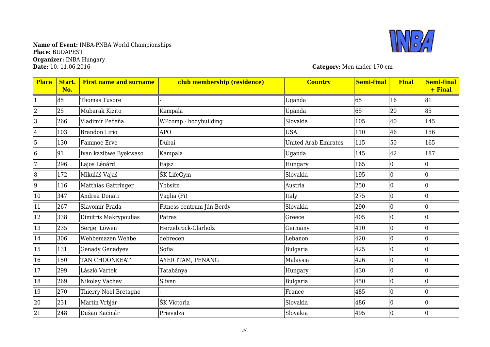

**Category:** Men under 170 cm

| <b>Place</b>    | Start.<br>No. | <b>First name and surname</b> | club membership (residence) | <b>Country</b>       | <b>Semi-final</b> | <b>Final</b> | <b>Semi-final</b><br>+ Final |
|-----------------|---------------|-------------------------------|-----------------------------|----------------------|-------------------|--------------|------------------------------|
|                 | 85            | Thomas Tusore                 |                             | Uganda               | 65                | 16           | 81                           |
| $\overline{2}$  | 25            | Mubarak Kizito                | Kampala                     | Uganda               | 65                | 20           | 85                           |
| 3               | 266           | Vladimír Pečeňa               | WPcomp - bodybuilding       | Slovakia             | 105               | 40           | 145                          |
| $\overline{4}$  | 103           | <b>Brandon Lirio</b>          | <b>APO</b>                  | <b>USA</b>           | 110               | 46           | 156                          |
| 5               | 130           | Fammoe Erve                   | Dubai                       | United Arab Emirates | 115               | 50           | 165                          |
| $\vert 6 \vert$ | 91            | Ivan kazibwe Byekwaso         | Kampala                     | Uganda               | 145               | 42           | 187                          |
|                 | 296           | Lajos Lénárd                  | Fajsz                       | Hungary              | 165               |              | 0                            |
| 8               | 172           | Mikuláš Vajaš                 | ŠK LifeGym                  | Slovakia             | 195               | $\Omega$     |                              |
| $\overline{9}$  | 116           | Matthias Gattringer           | Ybbsitz                     | Austria              | 250               | 0            | 10                           |
| 10              | 347           | Andrea Donati                 | Vaglia (Fi)                 | Italy                | 275               | $\Omega$     | 10                           |
| 11              | 267           | Slavomír Prada                | Fitness centrum Ján Berdy   | Slovakia             | 290               | 0            |                              |
| 12              | 338           | Dimitris Makrypoulias         | Patras                      | Greece               | 405               | 0            | 10                           |
| 13              | 235           | Sergej Löwen                  | Herzebrock-Clarholz         | Germany              | 410               | $\Omega$     | I٥                           |
| 14              | 306           | Wehbemazen Wehbe              | debrecen                    | Lebanon              | 420               | $\Omega$     |                              |
| 15              | 131           | <b>Genady Genadyev</b>        | Sofia                       | <b>Bulgaria</b>      | 425               | 0            | 10                           |
| 16              | 150           | <b>TAN CHOONKEAT</b>          | AYER ITAM, PENANG           | Malaysia             | 426               |              |                              |
| 17              | 299           | László Vartek                 | Tatabánya                   | Hungary              | 430               | $\Omega$     | 10                           |
| 18              | 269           | Nikolay Vachev                | Sliven                      | Bulgaria             | 450               | $\Omega$     | I٥                           |
| 19              | 270           | Thierry Noel Bretagne         |                             | France               | 485               |              |                              |
| 20              | 231           | Martin Vrbjár                 | ŠK Victoria                 | Slovakia             | 486               | $\Omega$     | I٥                           |
| 21              | 248           | Dušan Kačmár                  | Prievidza                   | Slovakia             | 495               |              |                              |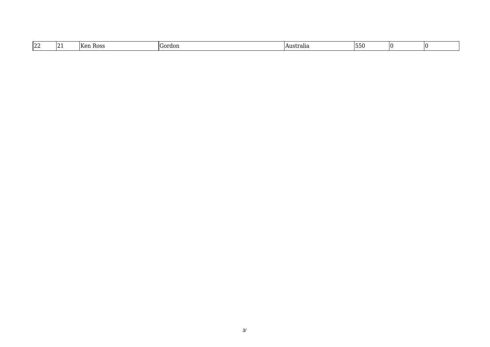| $\sqrt{2}$<br>144 | $\sqrt{2}$<br>IT.<br>ROS.<br>חו | $\alpha$ rd $\alpha$ r | .Australia | ,,,,,, |  |  |
|-------------------|---------------------------------|------------------------|------------|--------|--|--|
|-------------------|---------------------------------|------------------------|------------|--------|--|--|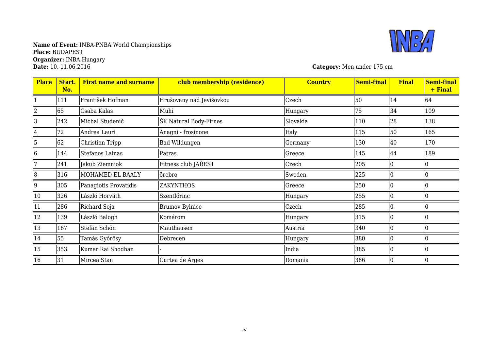# **Name of Event:** INBA-PNBA World Championships **Place:** BUDAPEST **Organizer:** INBA Hungary



**Category:** Men under 175 cm

| <b>Place</b> | Start.<br>No. | <b>First name and surname</b> | club membership (residence) | <b>Country</b> | <b>Semi-final</b> | <b>Final</b> | <b>Semi-final</b><br>+ Final |
|--------------|---------------|-------------------------------|-----------------------------|----------------|-------------------|--------------|------------------------------|
|              | 111           | František Hofman              | Hrušovany nad Jevišovkou    | Czech          | 50                | 14           | 64                           |
| 2            | 65            | Csaba Kalas                   | Muhi                        | Hungary        | 75                | 34           | 109                          |
| 3            | 242           | Michal Studenič               | ŠK Natural Body-Fitnes      | Slovakia       | 110               | 28           | 138                          |
| 4            | 72            | Andrea Lauri                  | Anagni - frosinone          | Italy          | 115               | 50           | 165                          |
| 5            | 62            | Christian Tripp               | Bad Wildungen               | Germany        | 130               | 40           | 170                          |
| 6            | 144           | Stefanos Lainas               | Patras                      | Greece         | 145               | 44           | 189                          |
| 7            | 241           | Jakub Ziemniok                | Fitness club JAŘEST         | Czech          | 205               |              |                              |
| 8            | 316           | MOHAMED EL BAALY              | orebro                      | Sweden         | 225               |              |                              |
| 9            | 305           | Panagiotis Provatidis         | <b>ZAKYNTHOS</b>            | Greece         | 250               |              |                              |
| 10           | 326           | László Horváth                | Szentlőrinc                 | Hungary        | 255               |              |                              |
| 11           | 286           | Richard Soja                  | <b>Brumov-Bylnice</b>       | Czech          | 285               |              |                              |
| 12           | 139           | László Balogh                 | Komárom                     | Hungary        | 315               |              |                              |
| 13           | 167           | Stefan Schön                  | Mauthausen                  | Austria        | 340               |              |                              |
| 14           | 55            | Tamás Győrösy                 | Debrecen                    | Hungary        | 380               |              |                              |
| 15           | 353           | Kumar Rai Shodhan             |                             | India          | 385               |              |                              |
| 16           | 31            | Mircea Stan                   | Curtea de Arges             | Romania        | 386               |              |                              |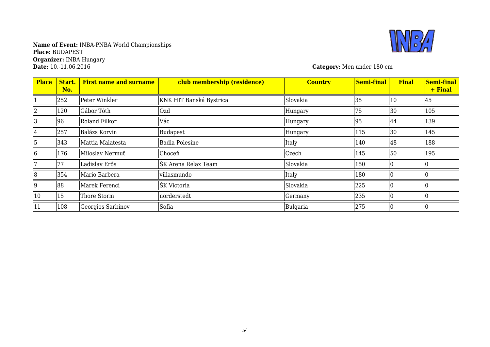

**Category:** Men under 180 cm

| <b>Place</b> | Start.<br>No. | <b>First name and surname</b> | club membership (residence) | <b>Country</b> | <b>Semi-final</b> | <b>Final</b> | Semi-final<br>+ Final |
|--------------|---------------|-------------------------------|-----------------------------|----------------|-------------------|--------------|-----------------------|
|              | 252           | Peter Winkler                 | KNK HIT Banská Bystrica     | Slovakia       | 35                | 10           | 45                    |
|              | 120           | Gábor Tóth                    | Ózd                         | Hungary        | 75                | 30           | 105                   |
|              | 96            | Roland Filkor                 | Vác                         | Hungary        | 95                | 44           | 139                   |
| 4            | 257           | Balázs Korvin                 | Budapest                    | Hungary        | 115               | 30           | 145                   |
| 5            | 343           | Mattia Malatesta              | <b>Badia Polesine</b>       | Italy          | 140               | 48           | 188                   |
| 6            | 176           | Miloslav Nermuť               | Choceň                      | Czech          | 145               | 50           | 195                   |
|              | 77            | Ladislav Erős                 | ŠK Arena Relax Team         | Slovakia       | 150               |              |                       |
| 8            | 354           | Mario Barbera                 | villasmundo                 | Italy          | 180               |              |                       |
| 9            | 88            | Marek Ferenci                 | ŠK Victoria                 | Slovakia       | 225               |              |                       |
| 10           | 15            | Thore Storm                   | norderstedt                 | Germany        | 235               |              |                       |
| 11           | 108           | Georgios Sarbinov             | Sofia                       | Bulgaria       | 275               |              |                       |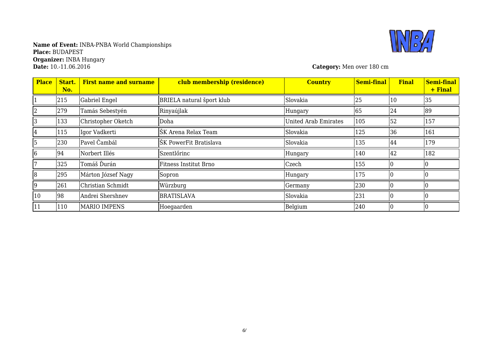# **Name of Event:** INBA-PNBA World Championships **Place:** BUDAPEST **Organizer:** INBA Hungary



**Category:** Men over 180 cm

| <b>Place</b> | Start.<br>No. | <b>First name and surname</b> | club membership (residence)  | <b>Country</b>              | <b>Semi-final</b> | <b>Final</b> | <b>Semi-final</b><br>+ Final |
|--------------|---------------|-------------------------------|------------------------------|-----------------------------|-------------------|--------------|------------------------------|
|              | 215           | Gabriel Engel                 | BRIELA natural šport klub    | Slovakia                    | 25                | 10           | 35                           |
|              | 279           | Tamás Sebestyén               | Rinyaújlak                   | Hungary                     | 65                | 24           | 89                           |
|              | 133           | Christopher Oketch            | Doha                         | <b>United Arab Emirates</b> | 105               | 52           | 157                          |
| 4            | 115           | Igor Vadkerti                 | ŠK Arena Relax Team          | Slovakia                    | 125               | 36           | 161                          |
|              | 230           | Pavel Čambál                  | ŠK PowerFit Bratislava       | Slovakia                    | 135               | 44           | 179                          |
| 6            | 94            | Norbert Illés                 | Szentlőrinc                  | Hungary                     | 140               | 42           | 182                          |
|              | 325           | Tomáš Ďurán                   | <b>Fitness Institut Brno</b> | Czech                       | 155               |              |                              |
| 8            | 295           | Márton József Nagy            | Sopron                       | Hungary                     | 175               |              |                              |
| 9            | 261           | Christian Schmidt             | Würzburg                     | Germany                     | 230               |              |                              |
| 10           | 98            | Andrei Shershnev              | <b>BRATISLAVA</b>            | Slovakia                    | 231               |              |                              |
| 11           | 110           | <b>MARIO IMPENS</b>           | Hoegaarden                   | Belgium                     | 240               |              |                              |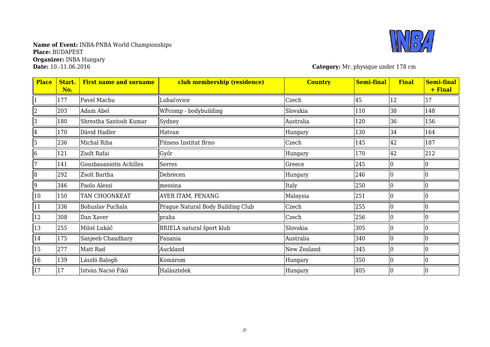

**Category:** Mr. physique under 178 cm

| <b>Place</b>   | Start.<br>No. | <b>First name and surname</b> | club membership (residence)       | <b>Country</b> | <b>Semi-final</b> | <b>Final</b> | <b>Semi-final</b><br>+ Final |
|----------------|---------------|-------------------------------|-----------------------------------|----------------|-------------------|--------------|------------------------------|
|                | 177           | Pavel Machu                   | Luhačovice                        | Czech          | 45                | 12           | 57                           |
| $\overline{2}$ | 203           | Adam Ábel                     | WPcomp - bodybuilding             | Slovakia       | 110               | 38           | 148                          |
| 3              | 180           | Shrestha Santosh Kumar        | Sydney                            | Australia      | 120               | 36           | 156                          |
| 4              | 170           | Dávid Hadler                  | Hatvan                            | Hungary        | 130               | 34           | 164                          |
| 5              | 236           | Michal Riha                   | Fitness Institut Brno             | Czech          | 145               | 42           | 187                          |
| 6              | 121           | Zsolt Rafai                   | Győr                              | Hungary        | 170               | 42           | 212                          |
|                | 141           | Gousbasaniotis Achilles       | Serres                            | Greece         | 245               |              |                              |
| $\overline{8}$ | 292           | Zsolt Bartha                  | Debrecen                          | Hungary        | 246               |              |                              |
| 9              | 346           | Paolo Alessi                  | messina                           | Italy          | 250               |              |                              |
| 10             | 150           | TAN CHOONKEAT                 | AYER ITAM, PENANG                 | Malaysia       | 251               |              |                              |
| 11             | 336           | Bohuslav Puchala              | Prague Natural Body Building Club | Czech          | 255               |              |                              |
| 12             | 308           | Dan Xaver                     | praha                             | Czech          | 256               |              |                              |
| 13             | 255           | Miloš Lukáč                   | BRIELA natural šport klub         | Slovakia       | 305               |              |                              |
| 14             | 175           | Sanjeeb Chaudhary             | Panania                           | Australia      | 340               |              |                              |
| 15             | 277           | Matt Rad                      | Auckland                          | New Zealand    | 345               |              |                              |
| 16             | 139           | László Balogh                 | Komárom                           | Hungary        | 350               |              |                              |
| 17             | 17            | István Nacsó Fikó             | Halásztelek                       | Hungary        | 405               |              |                              |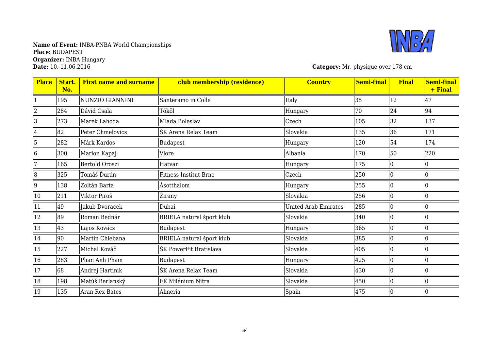

**Category:** Mr. physique over 178 cm

| <b>Place</b>   | Start.<br>No. | <b>First name and surname</b> | club membership (residence) | <b>Country</b>              | <b>Semi-final</b> | <b>Final</b> | <b>Semi-final</b><br>+ Final |
|----------------|---------------|-------------------------------|-----------------------------|-----------------------------|-------------------|--------------|------------------------------|
| 1              | 195           | NUNZIO GIANNINI               | Santeramo in Colle          | Italy                       | 35                | 12           | 47                           |
| 2              | 284           | Dávid Csala                   | Tököl                       | Hungary                     | 70                | 24           | 94                           |
| 3              | 273           | Marek Lahoda                  | Mlada Boleslav              | Czech                       | 105               | 32           | 137                          |
| 4              | 82            | Peter Chmelovics              | ŠK Arena Relax Team         | Slovakia                    | 135               | 36           | 171                          |
| 5              | 282           | Márk Kardos                   | Budapest                    | Hungary                     | 120               | 54           | 174                          |
| 6              | 300           | Marlon Kapaj                  | Vlore                       | Albania                     | 170               | 50           | 220                          |
| 7              | 165           | Bertold Oroszi                | Hatvan                      | Hungary                     | 175               |              |                              |
| $\overline{8}$ | 325           | Tomáš Ďurán                   | Fitness Institut Brno       | Czech                       | 250               |              |                              |
| 9              | 138           | Zoltán Barta                  | Ásotthalom                  | Hungary                     | 255               |              |                              |
| 10             | 211           | Viktor Piroš                  | Žirany                      | Slovakia                    | 256               |              |                              |
| 11             | 49            | Jakub Dvoracek                | Dubai                       | <b>United Arab Emirates</b> | 285               |              |                              |
| 12             | 89            | Roman Bednár                  | BRIELA natural šport klub   | Slovakia                    | 340               |              |                              |
| 13             | 43            | Lajos Kovács                  | <b>Budapest</b>             | Hungary                     | 365               |              |                              |
| 14             | 90            | Martin Chlebana               | BRIELA natural šport klub   | Slovakia                    | 385               |              |                              |
| 15             | 227           | Michal Kováč                  | ŠK PowerFit Bratislava      | Slovakia                    | 405               |              |                              |
| 16             | 283           | Phan Anh Pham                 | Budapest                    | Hungary                     | 425               |              |                              |
| 17             | 68            | Andrej Hartinik               | ŠK Arena Relax Team         | Slovakia                    | 430               | 0            |                              |
| 18             | 198           | Matúš Berlanský               | FK Milénium Nitra           | Slovakia                    | 450               |              |                              |
| 19             | 135           | Aran Rex Bates                | Almeria                     | Spain                       | 475               |              |                              |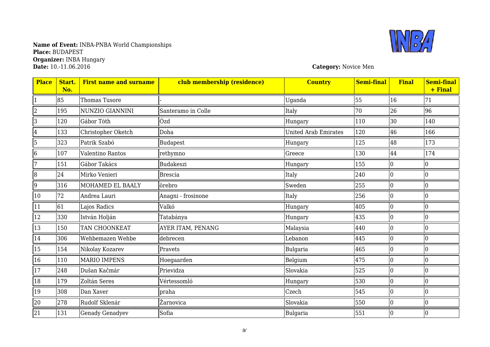### **Name of Event:** INBA-PNBA World Championships **Place:** BUDAPEST **Organizer:** INBA Hungary **Date:** 10.-11.06.2016 **Category:** Novice Men



| <b>Place</b>    | Start.<br>No. | <b>First name and surname</b> | club membership (residence) | <b>Country</b>              | <b>Semi-final</b> | <b>Final</b>   | <b>Semi-final</b><br>+ Final |
|-----------------|---------------|-------------------------------|-----------------------------|-----------------------------|-------------------|----------------|------------------------------|
|                 | 85            | Thomas Tusore                 |                             | Uganda                      | 55                | 16             | 71                           |
| $\overline{2}$  | 195           | NUNZIO GIANNINI               | Santeramo in Colle          | Italy                       | 70                | 26             | 96                           |
| 3               | 120           | Gábor Tóth                    | Ózd                         | Hungary                     | 110               | 30             | 140                          |
| $\overline{4}$  | 133           | Christopher Oketch            | Doha                        | <b>United Arab Emirates</b> | 120               | 46             | 166                          |
| 5               | 323           | Patrik Szabó                  | Budapest                    | Hungary                     | 125               | 48             | 173                          |
| $\overline{6}$  | 107           | Valentino Rantos              | rethymno                    | Greece                      | 130               | 44             | 174                          |
| 7               | 151           | Gábor Takács                  | <b>Budakeszi</b>            | Hungary                     | 155               | $\Omega$       | 10                           |
| $\overline{8}$  | 24            | Mirko Venieri                 | <b>Brescia</b>              | Italy                       | 240               | $\Omega$       |                              |
| 9               | 316           | MOHAMED EL BAALY              | örebro                      | Sweden                      | 255               |                |                              |
| 10              | 72            | Andrea Lauri                  | Anagni - frosinone          | Italy                       | 256               | $\Omega$       |                              |
| 11              | 61            | Lajos Radics                  | Valkó                       | Hungary                     | 405               | $\Omega$       |                              |
| 12              | 330           | István Holján                 | Tatabánya                   | Hungary                     | 435               | $\Omega$       |                              |
| 13              | 150           | TAN CHOONKEAT                 | AYER ITAM, PENANG           | Malaysia                    | 440               |                |                              |
| 14              | 306           | Wehbemazen Wehbe              | debrecen                    | Lebanon                     | 445               | $\overline{0}$ | 10                           |
| 15              | 154           | Nikolay Kozarev               | Pravets                     | Bulgaria                    | 465               | $\Omega$       |                              |
| 16              | 110           | <b>MARIO IMPENS</b>           | Hoegaarden                  | Belgium                     | 475               |                |                              |
| 17              | 248           | Dušan Kačmár                  | Prievidza                   | Slovakia                    | 525               | $\overline{0}$ | 10                           |
| 18              | 179           | Zoltán Seres                  | Vértessomló                 | Hungary                     | 530               |                |                              |
| 19              | 308           | Dan Xaver                     | praha                       | Czech                       | 545               |                |                              |
| 20              | 278           | Rudolf Sklenár                | Žarnovica                   | Slovakia                    | 550               | $\overline{0}$ | 0                            |
| $\overline{21}$ | 131           | <b>Genady Genadyev</b>        | Sofia                       | <b>Bulgaria</b>             | 551               | $\mathbf{0}$   | $\overline{0}$               |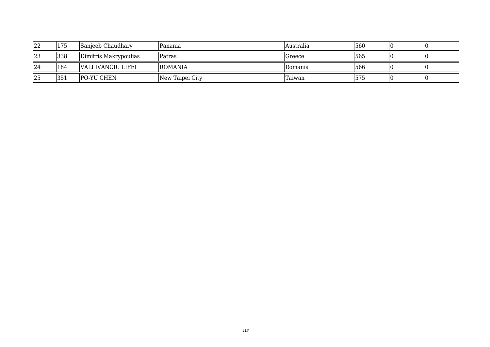| 22 | 175 | Sanjeeb Chaudhary     | Panania         | lAustralia | 560 |  |
|----|-----|-----------------------|-----------------|------------|-----|--|
| 23 | 338 | Dimitris Makrypoulias | Patras          | Greece     | 565 |  |
| 24 | 184 | VALI IVANCIU LIFEI    | <b>ROMANIA</b>  | IRomania   | 566 |  |
| 25 | 351 | <b>PO-YU CHEN</b>     | New Taipei City | Taiwan     | 575 |  |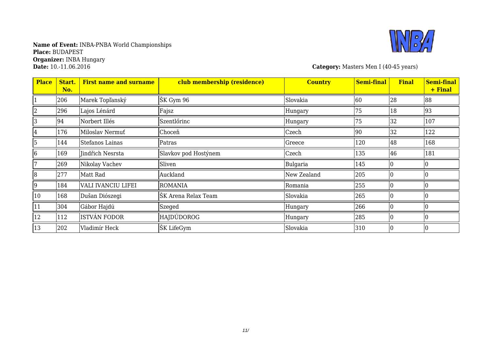

**Category:** Masters Men I (40-45 years)

| <b>Place</b>   | Start.<br>No. | <b>First name and surname</b> | club membership (residence) | <b>Country</b> | <b>Semi-final</b> | <b>Final</b> | <b>Semi-final</b><br>+ Final |
|----------------|---------------|-------------------------------|-----------------------------|----------------|-------------------|--------------|------------------------------|
|                | 206           | Marek Topľanský               | ŠK Gym 96                   | Slovakia       | 60                | 28           | 88                           |
| 2              | 296           | Lajos Lénárd                  | Fajsz                       | Hungary        | 75                | 18           | 93                           |
| З              | 94            | Norbert Illés                 | Szentlőrinc                 | Hungary        | 75                | 32           | 107                          |
| 4              | 176           | Miloslav Nermuť               | Choceň                      | Czech          | 90                | 32           | 122                          |
| 5              | 144           | Stefanos Lainas               | Patras                      | Greece         | 120               | 48           | 168                          |
| 6              | 169           | Jindřich Nesrsta              | Slavkov pod Hostýnem        | Czech          | 135               | 46           | 181                          |
|                | 269           | Nikolay Vachev                | Sliven                      | Bulgaria       | 145               |              |                              |
| $\overline{8}$ | 277           | Matt Rad                      | Auckland                    | New Zealand    | 205               |              |                              |
| 9              | 184           | VALI IVANCIU LIFEI            | <b>ROMANIA</b>              | Romania        | 255               |              |                              |
| 10             | 168           | Dušan Diószegi                | ŠK Arena Relax Team         | Slovakia       | 265               |              |                              |
| 11             | 304           | Gábor Hajdú                   | Szeged                      | Hungary        | 266               |              |                              |
| 12             | 112           | ISTVÁN FODOR                  | HAJDÚDOROG                  | Hungary        | 285               |              |                              |
| 13             | 202           | Vladimír Heck                 | ŠK LifeGym                  | Slovakia       | 310               |              |                              |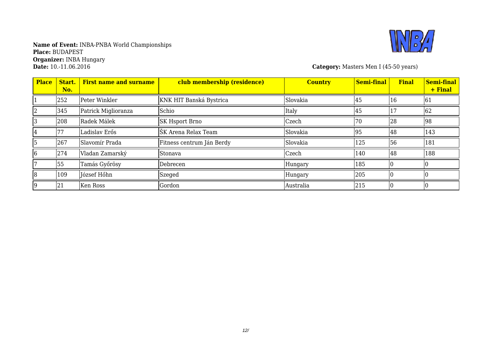

**Category:** Masters Men I (45-50 years)

| <b>Place</b> | Start.<br>No. | <b>First name and surname</b> | club membership (residence) | <b>Country</b> | <b>Semi-final</b> | <b>Final</b> | Semi-final<br>+ Final |
|--------------|---------------|-------------------------------|-----------------------------|----------------|-------------------|--------------|-----------------------|
|              | 252           | Peter Winkler                 | KNK HIT Banská Bystrica     | Slovakia       | 45                | 16           | 161                   |
|              | 345           | Patrick Miglioranza           | Schio                       | Italy          | 45                |              | 62                    |
|              | 208           | Radek Málek                   | <b>SK Hsport Brno</b>       | Czech          | 70                | 28           | 98                    |
|              | 77            | Ladislav Erős                 | ŠK Arena Relax Team         | Slovakia       | 95                | 48           | 143                   |
|              | 267           | Slavomír Prada                | Fitness centrum Ján Berdy   | Slovakia       | 125               | 56           | 181                   |
|              | 274           | Vladan Zamarský               | Stonava                     | Czech          | 140               | 48           | 188                   |
|              | 55            | Tamás Győrösy                 | Debrecen                    | Hungary        | 185               |              |                       |
| 18           | 109           | József Hőhn                   | Szeged                      | Hungary        | 205               |              |                       |
|              | 21            | Ken Ross                      | Gordon                      | Australia      | 215               |              |                       |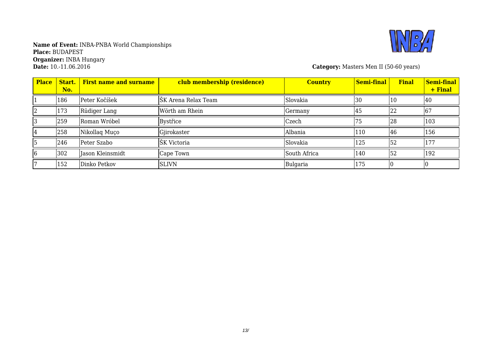

**Category:** Masters Men II (50-60 years)

| <b>Place</b> | Start.<br>No. | <b>First name and surname</b> | club membership (residence) | <b>Country</b> | Semi-final | <b>Final</b> | Semi-final<br>+ Final |
|--------------|---------------|-------------------------------|-----------------------------|----------------|------------|--------------|-----------------------|
|              | 186           | Peter Kočíšek                 | ŠK Arena Relax Team         | Slovakia       | 30         | <b>10</b>    | 40                    |
|              | 173           | Rüdiger Lang                  | Wörth am Rhein              | Germany        | 45         | 22           | 67                    |
|              | 259           | Roman Wróbel                  | Bystřice                    | Czech          |            | 28           | 103                   |
|              | 258           | Nikollaq Muço                 | Gjirokaster                 | Albania        | 110        | 46           | 156                   |
|              | 246           | Peter Szabo                   | ŠK Victoria                 | Slovakia       | 125        | 52           | 177                   |
|              | 302           | Jason Kleinsmidt              | Cape Town                   | South Africa   | 140        | 152          | 192                   |
|              | 152           | Dinko Petkov                  | <b>SLIVN</b>                | Bulgaria       | 175        |              |                       |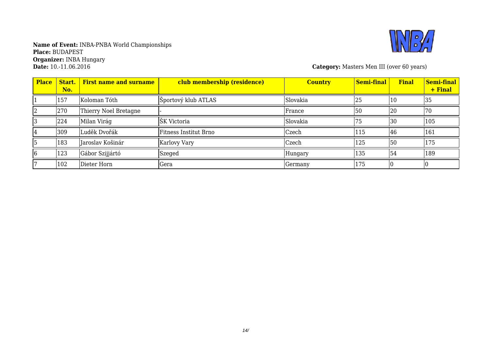

**Category:** Masters Men III (over 60 years)

| <b>Place</b> | Start.<br>No. | <b>First name and surname</b> | club membership (residence) | <b>Country</b> | Semi-final | <b>Final</b> | Semi-final<br>+ Final |
|--------------|---------------|-------------------------------|-----------------------------|----------------|------------|--------------|-----------------------|
|              | 157           | Koloman Tóth                  | Športový klub ATLAS         | Slovakia       | 25         | 10           | 35                    |
|              | 270           | Thierry Noel Bretagne         |                             | France         | 50         | 20           | 70                    |
|              | 224           | Milan Virág                   | ŠK Victoria                 | Slovakia       | 75         | 30           | 105                   |
|              | 309           | Luděk Dvořák                  | Fitness Institut Brno       | Czech          | 115        | 46           | 161                   |
|              | 183           | Jaroslav Košinár              | Karlovy Vary                | Czech          | 125        | 50           | 175                   |
| 16           | 123           | Gábor Szijjártó               | Szeged                      | Hungary        | 135        | 154          | 189                   |
|              | 102           | Dieter Horn                   | Gera                        | Germany        | 175        |              |                       |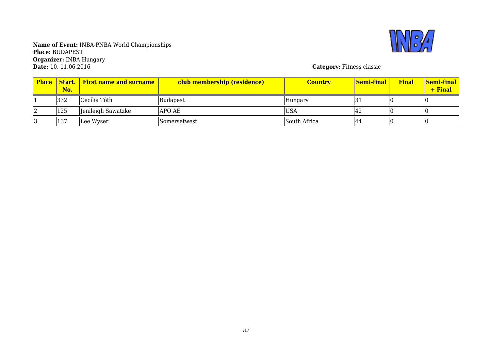

**Name of Event:** INBA-PNBA World Championships **Place:** BUDAPEST **Organizer:** INBA Hungary **Date:** 10.-11.06.2016 **Category:** Fitness classic

| <b>Place</b> | No. | <b>Start.</b> First name and surname | club membership (residence) | <b>Country</b> | <u>  Semi-final</u> | Final | <b>Semi-final</b><br>+ Final |
|--------------|-----|--------------------------------------|-----------------------------|----------------|---------------------|-------|------------------------------|
|              | 332 | Cecília Tóth                         | <b>Budapest</b>             | Hungary        |                     |       |                              |
|              | 125 | Jenileigh Sawatzke                   | <b>APO AE</b>               | 'USA           | 14 Z                |       |                              |
|              | 137 | Lee Wyser                            | <b>ISomersetwest</b>        | South Africa   | 144                 |       |                              |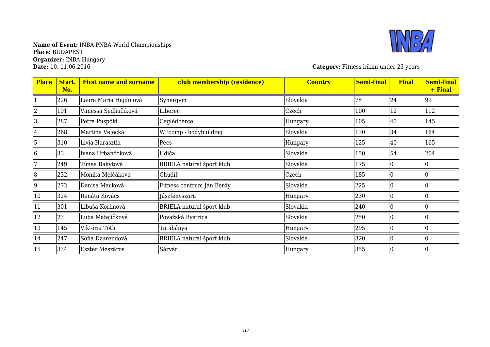

**Category:** Fitness bikini under 23 years

| <b>Place</b> | Start.<br>No. | <b>First name and surname</b> | club membership (residence) | <b>Country</b> | <b>Semi-final</b> | <b>Final</b> | <b>Semi-final</b><br>+ Final |
|--------------|---------------|-------------------------------|-----------------------------|----------------|-------------------|--------------|------------------------------|
|              | 226           | Laura Mária Hajdinová         | Synergym                    | Slovakia       | 75                | 24           | 99                           |
| 2            | 191           | Vanessa Sedliačiková          | Liberec                     | Czech          | 100               | 12           | 112                          |
| 3            | 287           | Petra Püspöki                 | Ceglédbercel                | Hungary        | 105               | 40           | 145                          |
| 4            | 268           | Martina Velecká               | WPcomp - bodybuilding       | Slovakia       | 130               | 34           | 164                          |
| 5            | 310           | Lívia Harasztia               | Pécs                        | Hungary        | 125               | 40           | 165                          |
| 6            | 33            | Ivana Urbančoková             | Udiča                       | Slovakia       | 150               | 54           | 204                          |
|              | 249           | Tímea Bakytová                | BRIELA natural šport klub   | Slovakia       | 175               |              |                              |
| 8            | 232           | Monika Melčáková              | Chudíř                      | Czech          | 185               |              |                              |
| 9            | 272           | Denisa Macková                | Fitness centrum Ján Berdy   | Slovakia       | 225               |              |                              |
| 10           | 324           | Renáta Kovács                 | Jászfényszaru               | Hungary        | 230               |              |                              |
| 11           | 301           | Libuša Korímová               | BRIELA natural šport klub   | Slovakia       | 240               |              |                              |
| 12           | 23            | Ľuba Matejičková              | Považská Bystrica           | Slovakia       | 250               |              |                              |
| 13           | 145           | Viktória Tóth                 | Tatabánya                   | Hungary        | 295               |              |                              |
| 14           | 247           | Soňa Dzurendová               | BRIELA natural šport klub   | Slovakia       | 320               |              |                              |
| 15           | 334           | Eszter Mészáros               | Sárvár                      | Hungary        | 355               |              |                              |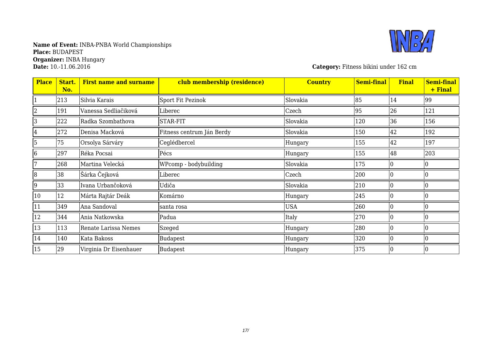# **Name of Event:** INBA-PNBA World Championships **Place:** BUDAPEST **Organizer:** INBA Hungary



**Category:** Fitness bikini under 162 cm

| <b>Place</b>   | Start.<br>No. | <b>First name and surname</b> | club membership (residence) | <b>Country</b> | <b>Semi-final</b> | <b>Final</b> | <b>Semi-final</b><br>+ Final |
|----------------|---------------|-------------------------------|-----------------------------|----------------|-------------------|--------------|------------------------------|
|                | 213           | Silvia Karais                 | Sport Fit Pezinok           | Slovakia       | 85                | 14           | 99                           |
| $\overline{2}$ | 191           | Vanessa Sedliačiková          | Liberec                     | Czech          | 95                | 26           | 121                          |
| 3              | 222           | Radka Szombathova             | STAR-FIT                    | Slovakia       | 120               | 36           | 156                          |
| 4              | 272           | Denisa Macková                | Fitness centrum Ján Berdy   | Slovakia       | 150               | 42           | 192                          |
| 5              | 75            | Orsolya Sárváry               | Ceglédbercel                | Hungary        | 155               | 42           | 197                          |
| 6              | 297           | Réka Pocsai                   | Pécs                        | Hungary        | 155               | 48           | 203                          |
|                | 268           | Martina Velecká               | WPcomp - bodybuilding       | Slovakia       | 175               |              |                              |
| 8              | 38            | Šárka Čejková                 | Liberec                     | Czech          | 200               |              |                              |
| 9              | 33            | Ivana Urbančoková             | Udiča                       | Slovakia       | 210               |              |                              |
| 10             | 12            | Márta Rajtár Deák             | Komárno                     | Hungary        | 245               | I۵           |                              |
| 11             | 349           | Ana Sandoval                  | santa rosa                  | <b>USA</b>     | 260               |              |                              |
| 12             | 344           | Ania Natkowska                | Padua                       | Italy          | 270               |              |                              |
| 13             | 113           | Renate Larissa Nemes          | Szeged                      | Hungary        | 280               | I٥           |                              |
| 14             | 140           | Kata Bakoss                   | <b>Budapest</b>             | Hungary        | 320               | I۵           |                              |
| 15             | 29            | Virginia Dr Eisenhauer        | Budapest                    | Hungary        | 375               |              |                              |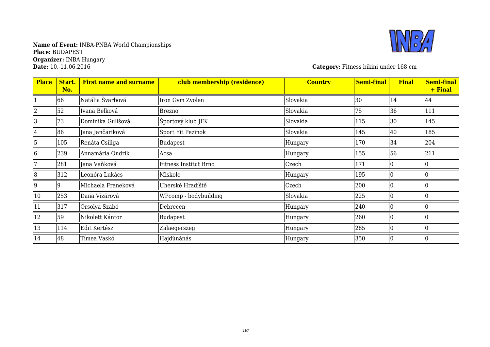

**Category:** Fitness bikini under 168 cm

| <b>Place</b> | Start.<br>No. | <b>First name and surname</b> | club membership (residence) | <b>Country</b> | <b>Semi-final</b> | <b>Final</b> | <b>Semi-final</b><br>+ Final |
|--------------|---------------|-------------------------------|-----------------------------|----------------|-------------------|--------------|------------------------------|
|              | 66            | Natália Švarbová              | Iron Gym Zvolen             | Slovakia       | 30                | 14           | 44                           |
|              | 52            | Ivana Belková                 | <b>Brezno</b>               | Slovakia       | 75                | 36           | 111                          |
| 3            | 73            | Dominika Gulišová             | Športový klub JFK           | Slovakia       | 115               | 30           | 145                          |
| 4            | 86            | Jana Jančariková              | Sport Fit Pezinok           | Slovakia       | 145               | 40           | 185                          |
| 5            | 105           | Renáta Csiliga                | <b>Budapest</b>             | Hungary        | 170               | 34           | 204                          |
| 6            | 239           | Annamária Ondrik              | Acsa                        | Hungary        | 155               | 56           | 211                          |
|              | 281           | Jana Vaňková                  | Fitness Institut Brno       | Czech          | 171               |              |                              |
| 8            | 312           | Leonóra Lukács                | Miskolc                     | Hungary        | 195               |              |                              |
| 9            | 9             | Michaela Franeková            | Uherské Hradíště            | Czech          | 200               |              |                              |
| 10           | 253           | Dana Vizárová                 | WPcomp - bodybuilding       | Slovakia       | 225               |              |                              |
| 11           | 317           | Orsolya Szabó                 | Debrecen                    | Hungary        | 240               |              |                              |
| 12           | 59            | Nikolett Kántor               | <b>Budapest</b>             | Hungary        | 260               |              |                              |
| 13           | 114           | Edit Kertész                  | Zalaegerszeg                | Hungary        | 285               |              |                              |
| 14           | 48            | Tímea Vaskó                   | Hajdúnánás                  | Hungary        | 350               |              |                              |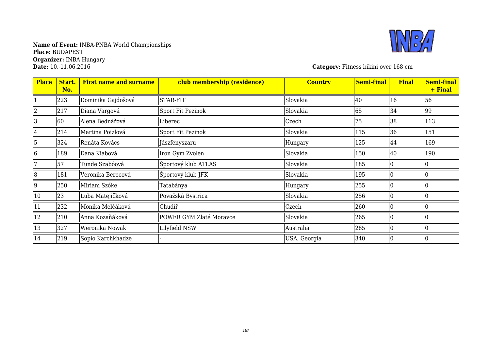

**Category:** Fitness bikini over 168 cm

| <b>Place</b> | Start.<br>No. | <b>First name and surname</b> | club membership (residence) | <b>Country</b> | <b>Semi-final</b> | <b>Final</b> | <b>Semi-final</b><br>+ Final |
|--------------|---------------|-------------------------------|-----------------------------|----------------|-------------------|--------------|------------------------------|
|              | 223           | Dominika Gajdošová            | <b>STAR-FIT</b>             | Slovakia       | 40                | 16           | 56                           |
|              | 217           | Diana Vargová                 | Sport Fit Pezinok           | Slovakia       | 65                | 34           | 99                           |
| 3            | 60            | Alena Bednářová               | Liberec                     | Czech          | 75                | 38           | 113                          |
| 4            | 214           | Martina Poizlová              | Sport Fit Pezinok           | Slovakia       | 115               | 36           | 151                          |
| 5            | 324           | Renáta Kovács                 | Jászfényszaru               | Hungary        | 125               | 44           | 169                          |
| 6            | 189           | Dana Kiabová                  | Iron Gym Zvolen             | Slovakia       | 150               | 40           | 190                          |
|              | 57            | Tünde Szabóová                | Športový klub ATLAS         | Slovakia       | 185               |              |                              |
| 18           | 181           | Veronika Berecová             | Športový klub JFK           | Slovakia       | 195               |              |                              |
| 9            | 250           | Miriam Szőke                  | Tatabánya                   | Hungary        | 255               |              |                              |
| 10           | 23            | Ľuba Matejičková              | Považská Bystrica           | Slovakia       | 256               |              |                              |
| 11           | 232           | Monika Melčáková              | Chudíř                      | Czech          | 260               |              |                              |
| $ 12\rangle$ | 210           | Anna Kozaňáková               | POWER GYM Zlaté Moravce     | Slovakia       | 265               |              |                              |
| 13           | 327           | Weronika Nowak                | Lilyfield NSW               | Australia      | 285               |              |                              |
| 14           | 219           | Sopio Karchkhadze             |                             | USA, Georgia   | 340               |              |                              |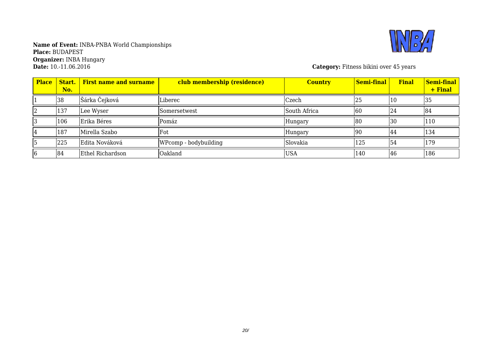

**Category:** Fitness bikini over 45 years

| <b>Place</b> | Start.<br>No. | <b>First name and surname</b> | club membership (residence) | <b>Country</b> | Semi-final | <b>Final</b> | Semi-final<br>+ Final |
|--------------|---------------|-------------------------------|-----------------------------|----------------|------------|--------------|-----------------------|
|              | 38            | Šárka Čejková                 | Liberec                     | Czech          | 25         | LO.          | 35                    |
|              | 137           | Lee Wyser                     | Somersetwest                | South Africa   | 60         | 24           | 184                   |
|              | 106           | Erika Béres                   | Pomáz                       | Hungary        | 180        | 30           | 110                   |
|              | 187           | Mirella Szabo                 | Fot                         | Hungary        | 90         | 44           | 134                   |
|              | 225           | Edita Nováková                | WPcomp - bodybuilding       | Slovakia       | 125        | 54           | 179                   |
|              | 84            | Ethel Richardson              | Oakland                     | <b>USA</b>     | 140        | 146          | 186                   |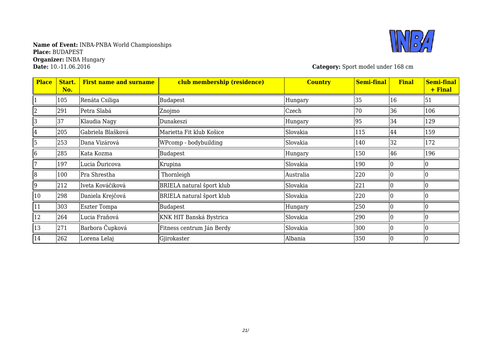

**Category:** Sport model under 168 cm

| <b>Place</b> | Start.<br>No. | <b>First name and surname</b> | club membership (residence)      | <b>Country</b> | <b>Semi-final</b> | <b>Final</b> | <b>Semi-final</b><br>+ Final |
|--------------|---------------|-------------------------------|----------------------------------|----------------|-------------------|--------------|------------------------------|
|              | 105           | Renáta Csiliga                | <b>Budapest</b>                  | Hungary        | 35                | 16           | 51                           |
| 2            | 291           | Petra Slabá                   | Znojmo                           | Czech          | 70                | 36           | 106                          |
| 3            | 37            | Klaudia Nagy                  | Dunakeszi                        | Hungary        | 95                | 34           | 129                          |
| 4            | 205           | Gabriela Blašková             | Marietta Fit klub Košice         | Slovakia       | 115               | 44           | 159                          |
| 5            | 253           | Dana Vizárová                 | WPcomp - bodybuilding            | Slovakia       | 140               | 32           | 172                          |
| 6            | 285           | Kata Kozma                    | <b>Budapest</b>                  | Hungary        | 150               | 46           | 196                          |
| 17           | 197           | Lucia Ďuricova                | Krupina                          | Slovakia       | 190               |              |                              |
| 8            | 100           | Pra Shrestha                  | Thornleigh                       | Australia      | 220               | l0           | 10                           |
| 9            | 212           | Iveta Kováčiková              | BRIELA natural šport klub        | Slovakia       | 221               |              |                              |
| 10           | 298           | Daniela Krejčová              | <b>BRIELA</b> natural šport klub | Slovakia       | 220               |              |                              |
| 11           | 303           | <b>Eszter Tompa</b>           | <b>Budapest</b>                  | Hungary        | 250               |              |                              |
| 12           | 264           | Lucia Fraňová                 | KNK HIT Banská Bystrica          | Slovakia       | 290               |              |                              |
| 13           | 271           | Barbora Čupková               | Fitness centrum Ján Berdy        | Slovakia       | 300               | I٥           | 10                           |
| 14           | 262           | Lorena Lelaj                  | Gjirokaster                      | Albania        | 350               |              |                              |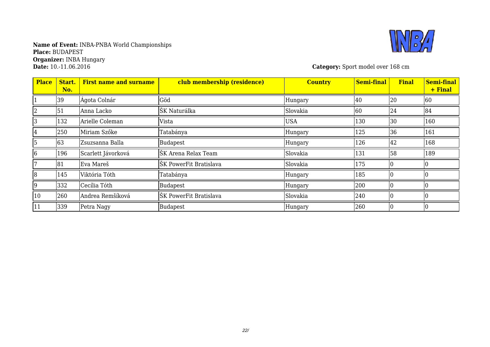

**Category:** Sport model over 168 cm

| <b>Place</b> | Start.<br>No. | <b>First name and surname</b> | club membership (residence) | <b>Country</b> | <b>Semi-final</b> | <b>Final</b> | Semi-final<br>+ Final |
|--------------|---------------|-------------------------------|-----------------------------|----------------|-------------------|--------------|-----------------------|
|              | 39            | Ágota Colnár                  | Göd                         | Hungary        | 40                | 20           | 60                    |
|              | 51            | Anna Lacko                    | ŠK Naturálka                | Slovakia       | 60                | 24           | 84                    |
|              | 132           | Arielle Coleman               | <b>Vista</b>                | <b>USA</b>     | 130               | 30           | 160                   |
| 4            | 250           | Miriam Szőke                  | Tatabánya                   | Hungary        | 125               | 36           | 161                   |
|              | 63            | Zsuzsanna Balla               | <b>Budapest</b>             | Hungary        | 126               | 42           | 168                   |
| 6            | 196           | Scarlett Jávorková            | ŠK Arena Relax Team         | Slovakia       | 131               | 58           | 189                   |
|              | 81            | Eva Mareš                     | ŠK PowerFit Bratislava      | Slovakia       | 175               |              |                       |
| 8            | 145           | Viktória Tóth                 | Tatabánya                   | Hungary        | 185               |              |                       |
| 9            | 332           | Cecília Tóth                  | Budapest                    | Hungary        | 200               |              |                       |
| 10           | 260           | Andrea Remšíková              | ŠK PowerFit Bratislava      | Slovakia       | 240               |              |                       |
| 11           | 339           | Petra Nagy                    | <b>Budapest</b>             | Hungary        | 260               |              |                       |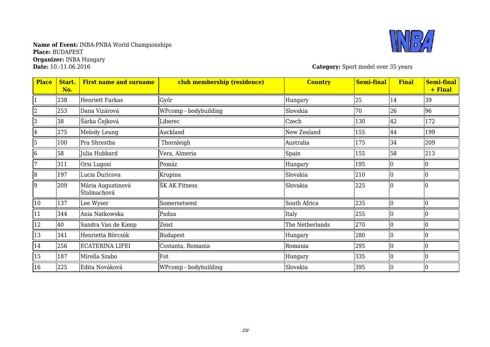

**Category:** Sport model over 35 years

| <b>Place</b>   | Start.<br>No. | <b>First name and surname</b>    | club membership (residence) | <b>Country</b>  | <b>Semi-final</b> | <b>Final</b> | <b>Semi-final</b><br>+ Final |
|----------------|---------------|----------------------------------|-----------------------------|-----------------|-------------------|--------------|------------------------------|
|                | 238           | <b>Henriett Farkas</b>           | Győr                        | Hungary         | 25                | 14           | 39                           |
|                | 253           | Dana Vizárová                    | WPcomp - bodybuilding       | Slovakia        | 70                | 26           | 96                           |
| 3              | 38            | Šárka Čejková                    | Liberec                     | Czech           | 130               | 42           | 172                          |
| 4              | 275           | Melody Leung                     | Auckland                    | New Zealand     | 155               | 44           | 199                          |
| $\overline{5}$ | 100           | Pra Shrestha                     | Thornleigh                  | Australia       | 175               | 34           | 209                          |
| 6              | 58            | Julia Hubbard                    | Vera, Almeria               | Spain           | 155               | 58           | 213                          |
|                | 311           | Orsi Lugosi                      | Pomáz                       | Hungary         | 195               |              |                              |
| 8              | 197           | Lucia Ďuricova                   | Krupina                     | Slovakia        | 210               |              |                              |
| 9              | 209           | Mária Augustinová<br>Štalmachová | ŠK AK Fitness               | Slovakia        | 225               |              |                              |
| 10             | 137           | Lee Wyser                        | Somersetwest                | South Africa    | 235               |              |                              |
| 11             | 344           | Ania Natkowska                   | Padua                       | Italy           | 255               |              |                              |
| 12             | 40            | Sandra Van de Kamp               | Zeist                       | The Netherlands | 270               |              |                              |
| 13             | 341           | Henrietta Börcsök                | <b>Budapest</b>             | Hungary         | 280               |              |                              |
| 14             | 256           | ECATERINA LIFEI                  | Costanta, Romania           | Romania         | 295               |              |                              |
| 15             | 187           | Mirella Szabo                    | Fot                         | Hungary         | 335               |              |                              |
| 16             | 225           | Edita Nováková                   | WPcomp - bodybuilding       | Slovakia        | 395               |              |                              |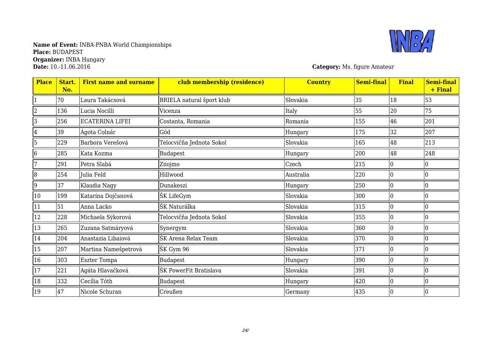

**Category:** Ms. figure Amateur

| <b>Place</b>   | Start.<br>No. | <b>First name and surname</b> | club membership (residence)      | <b>Country</b> | <b>Semi-final</b> | <b>Final</b> | <b>Semi-final</b><br>+ Final |
|----------------|---------------|-------------------------------|----------------------------------|----------------|-------------------|--------------|------------------------------|
|                | 70            | Laura Takácsová               | <b>BRIELA</b> natural šport klub | Slovakia       | 35                | 18           | 53                           |
|                | 136           | Lucia Nocilli                 | Vicenza                          | Italy          | 55                | 20           | 75                           |
| 3              | 256           | <b>ECATERINA LIFEI</b>        | Costanta, Romania                | Romania        | 155               | 46           | 201                          |
| 4              | 39            | Ágota Colnár                  | Göd                              | Hungary        | 175               | 32           | 207                          |
| 5              | 229           | Barbora Verešová              | Felocvičňa Jednota Sokol         | Slovakia       | 165               | 48           | 213                          |
| 6              | 285           | Kata Kozma                    | Budapest                         | Hungary        | 200               | 48           | 248                          |
|                | 291           | Petra Slabá                   | Znojmo                           | Czech          | 215               |              |                              |
| $\overline{8}$ | 254           | Julia Feld                    | Hillwood                         | Australia      | 220               |              |                              |
| 9              | 37            | Klaudia Nagy                  | Dunakeszi                        | Hungary        | 250               |              |                              |
| 10             | 199           | Katarína Dojčanová            | ŠK LifeGym                       | Slovakia       | 300               |              |                              |
| 11             | 51            | Anna Lacko                    | ŠK Naturálka                     | Slovakia       | 315               |              |                              |
| 12             | 228           | Michaela Sýkorová             | Felocvičňa Jednota Sokol         | Slovakia       | 355               |              |                              |
| 13             | 265           | Zuzana Satmáryová             | Synergym                         | Slovakia       | 360               |              |                              |
| 14             | 204           | Anastazia Libaiová            | ŠK Arena Relax Team              | Slovakia       | 370               |              |                              |
| 15             | 207           | Martina Namešpetrová          | ŠK Gym 96                        | Slovakia       | 371               |              |                              |
| 16             | 303           | <b>Eszter Tompa</b>           | Budapest                         | Hungary        | 390               |              |                              |
| 17             | 221           | Agáta Hlavačková              | ŠK PowerFit Bratislava           | Slovakia       | 391               |              |                              |
| 18             | 332           | Cecília Tóth                  | Budapest                         | Hungary        | 420               |              |                              |
| 19             | 47            | Nicole Schuran                | Creußen                          | Germany        | 435               |              |                              |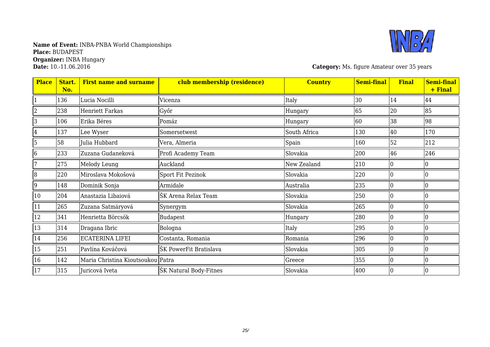

**Category:** Ms. figure Amateur over 35 years

| <b>Place</b> | Start.<br>No. | <b>First name and surname</b>     | club membership (residence) | <b>Country</b> | <b>Semi-final</b> | <b>Final</b> | <b>Semi-final</b><br>+ Final |
|--------------|---------------|-----------------------------------|-----------------------------|----------------|-------------------|--------------|------------------------------|
|              | 136           | Lucia Nocilli                     | Vicenza                     | Italy          | 30                | 14           | 44                           |
|              | 238           | <b>Henriett Farkas</b>            | Győr                        | Hungary        | 65                | 20           | 85                           |
| 3            | 106           | Erika Béres                       | Pomáz                       | Hungary        | 60                | 38           | 98                           |
| 4            | 137           | Lee Wyser                         | Somersetwest                | South Africa   | 130               | 40           | 170                          |
| 5            | 58            | Julia Hubbard                     | Vera, Almeria               | Spain          | 160               | 52           | 212                          |
| 6            | 233           | Zuzana Gudaneková                 | Profi Academy Team          | Slovakia       | 200               | 46           | 246                          |
|              | 275           | Melody Leung                      | Auckland                    | New Zealand    | 210               |              | 10                           |
| 8            | 220           | Miroslava Mokošová                | Sport Fit Pezinok           | Slovakia       | 220               |              | 10                           |
| 9            | 148           | Dominik Sonja                     | Armidale                    | Australia      | 235               |              | Ю                            |
| 10           | 204           | Anastazia Libaiová                | ŠK Arena Relax Team         | Slovakia       | 250               |              | IO                           |
| 11           | 265           | Zuzana Satmáryová                 | Synergym                    | Slovakia       | 265               |              | IO                           |
| 12           | 341           | Henrietta Börcsök                 | Budapest                    | Hungary        | 280               |              | IO                           |
| 13           | 314           | Dragana Ibric                     | Bologna                     | Italy          | 295               |              | IO                           |
| 14           | 256           | ECATERINA LIFEI                   | Costanta, Romania           | Romania        | 296               |              | 10                           |
| 15           | 251           | Pavlína Kováčová                  | ŠK PowerFit Bratislava      | Slovakia       | 305               |              | Ю                            |
| 16           | 142           | Maria Christina Kioutsoukou Patra |                             | Greece         | 355               |              | Ю                            |
| 17           | 315           | Juricová Iveta                    | ŠK Natural Body-Fitnes      | Slovakia       | 400               |              | 10                           |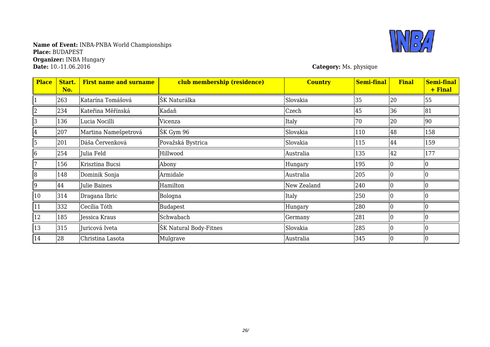### **Name of Event:** INBA-PNBA World Championships **Place:** BUDAPEST **Organizer:** INBA Hungary **Date:** 10.-11.06.2016 **Category:** Ms. physique



| <b>Place</b> | Start.<br>No. | <b>First name and surname</b> | club membership (residence) | <b>Country</b> | <b>Semi-final</b> | <b>Final</b> | <b>Semi-final</b><br>+ Final |
|--------------|---------------|-------------------------------|-----------------------------|----------------|-------------------|--------------|------------------------------|
|              | 263           | Katarína Tomášová             | ŠK Naturálka                | Slovakia       | 35                | 20           | 55                           |
|              | 234           | Kateřina Měřínská             | Kadaň                       | Czech          | 45                | 36           | 81                           |
| 3            | 136           | Lucia Nocilli                 | Vicenza                     | Italy          | 70                | 20           | 90                           |
| 4            | 207           | Martina Namešpetrová          | SK Gym 96                   | Slovakia       | 110               | 48           | 158                          |
| 5            | 201           | Dáša Červenková               | Považská Bystrica           | Slovakia       | 115               | 44           | 159                          |
| 6            | 254           | Julia Feld                    | Hillwood                    | Australia      | 135               | 42           | 177                          |
|              | 156           | Krisztina Bucsi               | Abony                       | Hungary        | 195               |              |                              |
| 18           | 148           | Dominik Sonja                 | Armidale                    | Australia      | 205               |              |                              |
| 9            | 44            | Julie Baines                  | Hamilton                    | New Zealand    | 240               |              |                              |
| 10           | 314           | Dragana Ibric                 | Bologna                     | Italy          | 250               |              |                              |
| 11           | 332           | Cecília Tóth                  | <b>Budapest</b>             | Hungary        | 280               |              |                              |
| $ 12\rangle$ | 185           | Jessica Kraus                 | Schwabach                   | Germany        | 281               |              |                              |
| 13           | 315           | Juricová Iveta                | ŠK Natural Body-Fitnes      | Slovakia       | 285               |              |                              |
| 14           | 28            | Christina Lasota              | Mulgrave                    | Australia      | 345               |              |                              |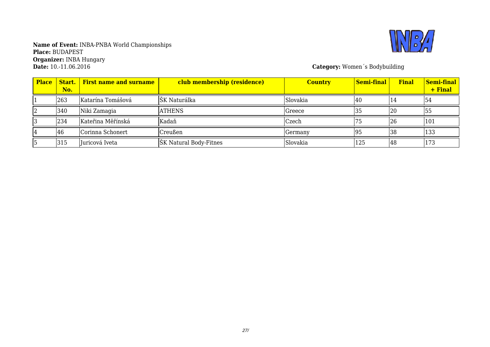

**Category:** Women´s Bodybuilding

| <b>Place</b> | No. | <b>Start.</b> First name and surname | club membership (residence) | <b>Country</b> | <mark>  Semi-final  </mark> | <b>Final</b> | <b>Semi-final</b><br>+ Final |
|--------------|-----|--------------------------------------|-----------------------------|----------------|-----------------------------|--------------|------------------------------|
|              | 263 | Katarína Tomášová                    | ŠK Naturálka                | Slovakia       | 140                         | 14           | 54                           |
|              | 340 | Niki Zamagia                         | <b>ATHENS</b>               | Greece         | 35                          | 20           | 55                           |
|              | 234 | Kateřina Měřínská                    | Kadaň                       | Czech          | 75                          | 26           | 101                          |
|              | 46  | Corinna Schonert                     | Creußen                     | Germany        | 95                          | 38           | 133                          |
|              | 315 | Juricová Iveta                       | ŠK Natural Body-Fitnes      | Slovakia       | 125                         | 48           | 173                          |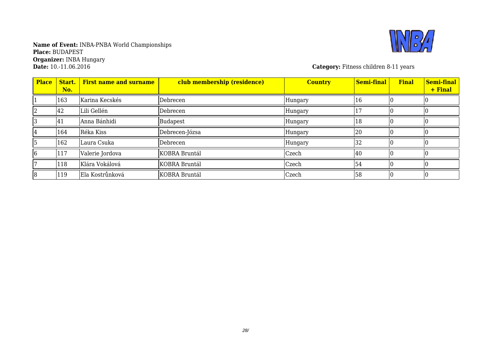

**Category:** Fitness children 8-11 years

| <b>Place</b> | Start.<br>No. | <b>First name and surname</b> | club membership (residence) | <b>Country</b> | <b>Semi-final</b> | <b>Final</b> | Semi-final<br>+ Final |
|--------------|---------------|-------------------------------|-----------------------------|----------------|-------------------|--------------|-----------------------|
|              | 163           | Karina Kecskés                | Debrecen                    | Hungary        | 16                |              |                       |
|              | 42            | Lili Gellén                   | Debrecen                    | Hungary        |                   |              |                       |
|              | 41            | Anna Bánhidi                  | Budapest                    | Hungary        | 18                |              |                       |
| 14           | 164           | Réka Kiss                     | Debrecen-Józsa              | Hungary        | 20                |              |                       |
|              | 162           | Laura Csuka                   | Debrecen                    | Hungary        | 32                |              |                       |
| 16           | 117           | Valerie Jordova               | KOBRA Bruntál               | Czech          | 40                |              |                       |
|              | 118           | Klára Vokálová                | KOBRA Bruntál               | Czech          | 54                |              |                       |
| 8            | 119           | Ela Kostrůnková               | KOBRA Bruntál               | Czech          | 58                |              |                       |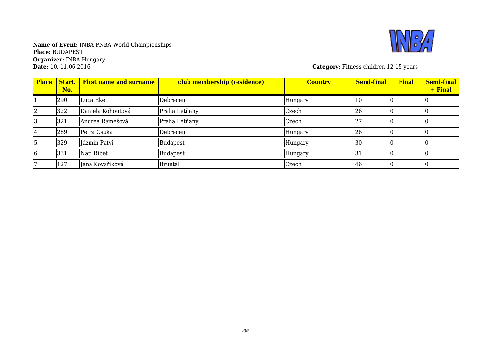

**Category:** Fitness children 12-15 years

| <b>Place</b> | Start.<br>No. | <b>First name and surname</b> | club membership (residence) | <b>Country</b> | Semi-final | <b>Final</b> | Semi-final<br>+ Final |
|--------------|---------------|-------------------------------|-----------------------------|----------------|------------|--------------|-----------------------|
|              | 290           | Luca Eke                      | Debrecen                    | Hungary        | 10         |              |                       |
|              | 322           | Daniela Kohoutová             | Praha Letňany               | Czech          | 26         |              |                       |
|              | 321           | Andrea Remešová               | Praha Letňany               | Czech          |            |              |                       |
|              | 289           | Petra Csuka                   | Debrecen                    | <b>Hungary</b> | 26         |              |                       |
|              | 329           | Jázmin Patyi                  | Budapest                    | Hungary        | 30         |              |                       |
| 16           | 331           | Nati Ribet                    | <b>Budapest</b>             | Hungary        | 31         |              |                       |
|              | 127           | Jana Kovaříková               | Bruntál                     | Czech          | 46         |              |                       |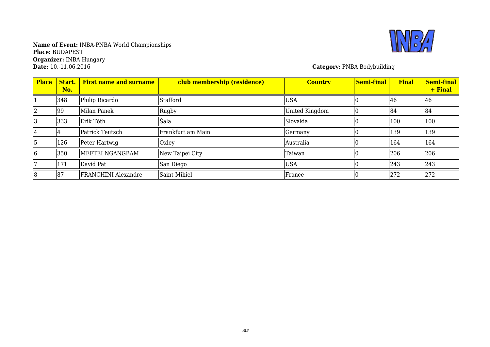

**Category: PNBA Bodybuilding** 

| <b>Place</b> | Start.<br>No. | <b>First name and surname</b> | club membership (residence) | <b>Country</b> | <b>Semi-final</b> | <b>Final</b> | Semi-final<br>+ Final |
|--------------|---------------|-------------------------------|-----------------------------|----------------|-------------------|--------------|-----------------------|
|              | 348           | Philip Ricardo                | Stafford                    | <b>USA</b>     |                   | 46           | 46                    |
|              | 99            | Milan Panek                   | Rugby                       | United Kingdom |                   | 84           | 84                    |
|              | 333           | Erik Tóth                     | Šaľa                        | Slovakia       |                   | 100          | 100                   |
|              |               | Patrick Teutsch               | Frankfurt am Main           | Germany        |                   | 139          | 139                   |
|              | 126           | Peter Hartwig                 | Oxley                       | Australia      |                   | 164          | 164                   |
| 16           | 350           | MEETEI NGANGBAM               | New Taipei City             | Taiwan         |                   | 206          | 206                   |
|              | 171           | David Pat                     | San Diego                   | <b>USA</b>     |                   | 243          | 243                   |
| 18           | 187           | <b>FRANCHINI</b> Alexandre    | Saint-Mihiel                | France         |                   | 272          | 272                   |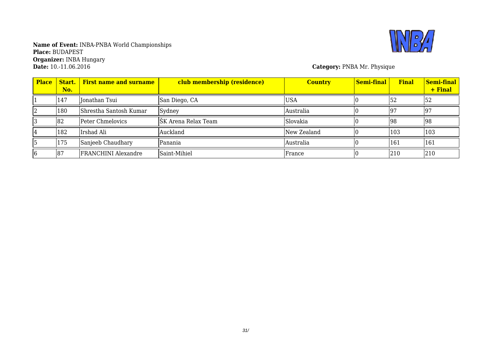

**Category: PNBA Mr. Physique** 

| <b>Place</b> | Start.  <br>No. | <b>First name and surname</b> | club membership (residence) | <b>Country</b>   | <b>Semi-final</b> | <b>Final</b> | Semi-final<br>+ Final |
|--------------|-----------------|-------------------------------|-----------------------------|------------------|-------------------|--------------|-----------------------|
|              | 147             | Jonathan Tsui                 | San Diego, CA               | <b>USA</b>       |                   | 152          | 52                    |
|              | 180             | Shrestha Santosh Kumar        | Sydney                      | Australia        |                   | 97           | 197                   |
|              | 82              | Peter Chmelovics              | ŠK Arena Relax Team         | <b>S</b> lovakia |                   | 98           | 98                    |
|              | 182             | Irshad Ali                    | Auckland                    | New Zealand      |                   | 103          | 103                   |
|              | 175             | Sanjeeb Chaudhary             | Panania                     | Australia        |                   | 161          | 161                   |
| 16           | 87              | <b>FRANCHINI</b> Alexandre    | Saint-Mihiel                | France           |                   | 210          | 210                   |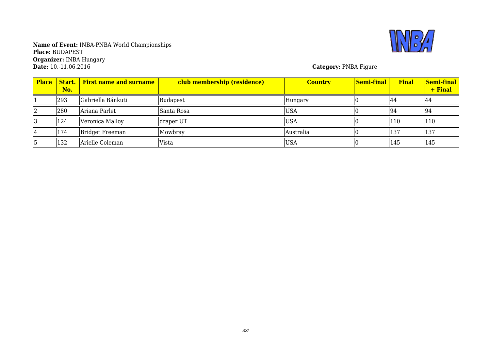

**Name of Event:** INBA-PNBA World Championships **Place:** BUDAPEST **Organizer:** INBA Hungary **Date:** 10.-11.06.2016 **Category:** PNBA Figure

| <b>Place</b> | No. | <b>Start.</b> First name and surname | club membership (residence) | <b>Country</b> | <mark>  Semi-final  </mark> | <b>Final</b> | Semi-final<br>+ Final |
|--------------|-----|--------------------------------------|-----------------------------|----------------|-----------------------------|--------------|-----------------------|
|              | 293 | Gabriella Bánkuti                    | <b>Budapest</b>             | Hungary        |                             | 44           | 144                   |
|              | 280 | Ariana Parlet                        | Santa Rosa                  | <b>USA</b>     |                             | 194          | 194                   |
|              | 124 | Veronica Malloy                      | draper UT                   | <b>USA</b>     |                             | 110          | 110                   |
|              | 174 | <b>Bridget Freeman</b>               | Mowbray                     | Australia      |                             | 137          | 137                   |
|              | 132 | Arielle Coleman                      | <b>Vista</b>                | <b>USA</b>     |                             | 145          | 145                   |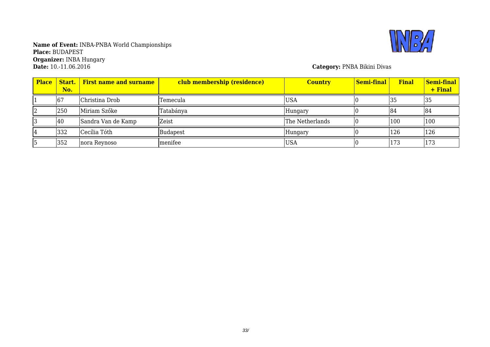

**Name of Event:** INBA-PNBA World Championships **Place:** BUDAPEST **Organizer:** INBA Hungary **Date:** 10.-11.06.2016 **Category:** PNBA Bikini Divas

| <b>Place</b> | No. | <b>Start.</b> First name and surname | club membership (residence) | <b>Country</b>  | <mark>  Semi-final</mark> | <b>Final</b> | Semi-final<br>+ Final |
|--------------|-----|--------------------------------------|-----------------------------|-----------------|---------------------------|--------------|-----------------------|
|              | 67  | Christina Drob                       | Temecula                    | <b>USA</b>      |                           | 135          | 35                    |
|              | 250 | Miriam Szőke                         | Tatabánya                   | Hungary         |                           | 184          | 184                   |
|              | 40  | Sandra Van de Kamp                   | Zeist                       | The Netherlands |                           | 100          | 100                   |
|              | 332 | Cecília Tóth                         | Budapest                    | Hungary         |                           | 126          | 126                   |
|              | 352 | nora Reynoso                         | menifee                     | <b>USA</b>      |                           | 173          | 173                   |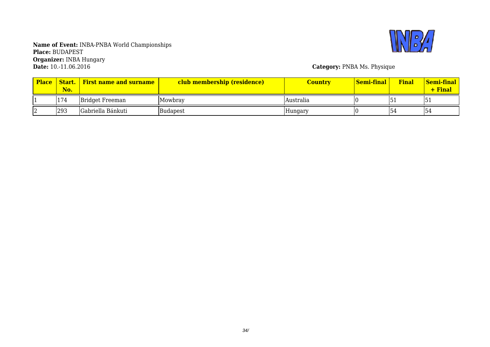

**Category: PNBA Ms. Physique** 

| <b>Place</b> | Start.<br>No. | <b>First name and surname</b> | club membership (residence) | Country   | Semi-final | <b>Final</b> | <b>Semi-final</b><br>+ Final |
|--------------|---------------|-------------------------------|-----------------------------|-----------|------------|--------------|------------------------------|
|              | 174           | <b>Bridget Freeman</b>        | lMowbrav                    | Australia |            | ∣ ∪ ⊥        | ـد آب ا                      |
|              | 293           | Gabriella Bánkuti             | Budapest                    | Hungary   |            | 54           | 154                          |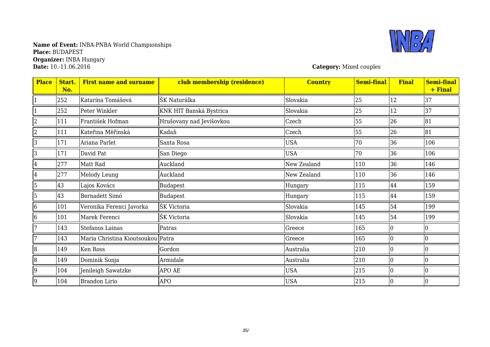### **Name of Event:** INBA-PNBA World Championships **Place:** BUDAPEST **Organizer:** INBA Hungary **Date:** 10.-11.06.2016 **Category:** Mixed couples



| <b>Place</b>   | Start.<br>No. | <b>First name and surname</b>     | club membership (residence) | <b>Country</b> | <b>Semi-final</b> | <b>Final</b> | <b>Semi-final</b><br>+ Final |
|----------------|---------------|-----------------------------------|-----------------------------|----------------|-------------------|--------------|------------------------------|
|                | 252           | Katarína Tomášová                 | ŠK Naturálka                | Slovakia       | 25                | 12           | 37                           |
|                | 252           | Peter Winkler                     | KNK HIT Banská Bystrica     | Slovakia       | 25                | 12           | 37                           |
| $\overline{2}$ | 111           | František Hofman                  | Hrušovany nad Jevišovkou    | Czech          | 55                | 26           | 81                           |
| $\overline{2}$ | 111           | Kateřina Měřínská                 | Kadaň                       | Czech          | 55                | 26           | 81                           |
| 3              | 171           | Ariana Parlet                     | Santa Rosa                  | <b>USA</b>     | 70                | 36           | 106                          |
| 3              | 171           | David Pat                         | San Diego                   | <b>USA</b>     | 70                | 36           | 106                          |
| 4              | 277           | Matt Rad                          | Auckland                    | New Zealand    | 110               | 36           | 146                          |
| 4              | 277           | Melody Leung                      | Auckland                    | New Zealand    | 110               | 36           | 146                          |
| 5              | 43            | Lajos Kovács                      | Budapest                    | Hungary        | 115               | 44           | 159                          |
| 5              | 43            | Bernadett Simó                    | Budapest                    | Hungary        | 115               | 44           | 159                          |
| $\overline{6}$ | 101           | Veronika Ferenci Javorka          | ŠK Victoria                 | Slovakia       | 145               | 54           | 199                          |
| $\overline{6}$ | 101           | Marek Ferenci                     | ŠK Victoria                 | Slovakia       | 145               | 54           | 199                          |
| 7              | 143           | Stefanos Lainas                   | Patras                      | Greece         | 165               |              | I٥                           |
| 7              | 143           | Maria Christina Kioutsoukou Patra |                             | Greece         | 165               |              | 10                           |
| $\overline{8}$ | 149           | Ken Ross                          | Gordon                      | Australia      | 210               | $\Omega$     | 10                           |
| $\overline{8}$ | 149           | Dominik Sonja                     | Armidale                    | Australia      | 210               |              | 10                           |
| 9              | 104           | Jenileigh Sawatzke                | APO AE                      | <b>USA</b>     | 215               |              | 10                           |
| 9              | 104           | <b>Brandon Lirio</b>              | <b>APO</b>                  | <b>USA</b>     | 215               |              | 10                           |